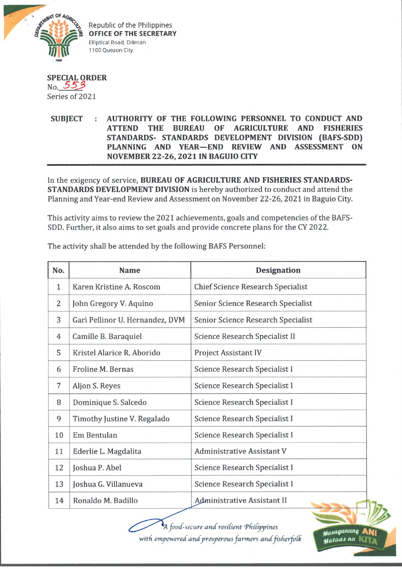

Republic of the Philippines **OFFICE OF THE SECRETARY** Elliptical Road, Diliman 1100 Quezon City

## **SPECIAL ORDER** No. *5 5 J>* Series of 2021

## **SUBJECT : AUTHORITY OF THE FOLLOWING PERSONNEL TO CONDUCT AND ATTEND THE BUREAU OF AGRICULTURE AND FISHERIES STANDARDS- STANDARDS DEVELOPMENT DIVISION (BAFS-SDD) PLANNING AND YEAR—END REVIEW AND ASSESSMENT ON NOVEMBER 22-26, 2021 IN BAGUIO CITY**

In the exigency of service, **BUREAU OF AGRICULTURE AND FISHERIES STANDARDS-STANDARDS DEVELOPMENT DIVISION** is hereby authorized to conduct and attend the Planning and Year-end Review and Assessment on November 22-26, 2021 in Baguio City.

This activity aims to review the 2021 achievements, goals and competencies of the BAFS-SDD. Further, it also aims to set goals and provide concrete plans for the CY 2022.

| No. | <b>Name</b>                     | <b>Designation</b>                 |
|-----|---------------------------------|------------------------------------|
| 1   | Karen Kristine A. Roscom        | Chief Science Research Specialist  |
| 2   | John Gregory V. Aquino          | Senior Science Research Specialist |
| 3   | Gari Pellinor U. Hernandez, DVM | Senior Science Research Specialist |
| 4   | Camille B. Baraquiel            | Science Research Specialist II     |
| 5   | Kristel Alarice R. Aborido      | <b>Project Assistant IV</b>        |
| 6   | Froline M. Bernas               | Science Research Specialist I      |
| 7   | Aljon S. Reyes                  | Science Research Specialist I      |
| 8   | Dominique S. Salcedo            | Science Research Specialist I      |
| 9   | Timothy Justine V. Regalado     | Science Research Specialist I      |
| 10  | Em Bentulan                     | Science Research Specialist I      |
| 11  | Ederlie L. Magdalita            | Administrative Assistant V         |
| 12  | Joshua P. Abel                  | Science Research Specialist I      |
| 13  | Joshua G. Villanueva            | Science Research Specialist I      |
| 14  | Ronaldo M. Badillo              | <b>Administrative Assistant II</b> |

The activity shall be attended by the following BAFS Personnel:

**I** *food-secure and resilient 'Philippines with empowered and prosperous farmers and fisherfofh*

*paMiqiuuum* A \*| *yataaJ na* KITa